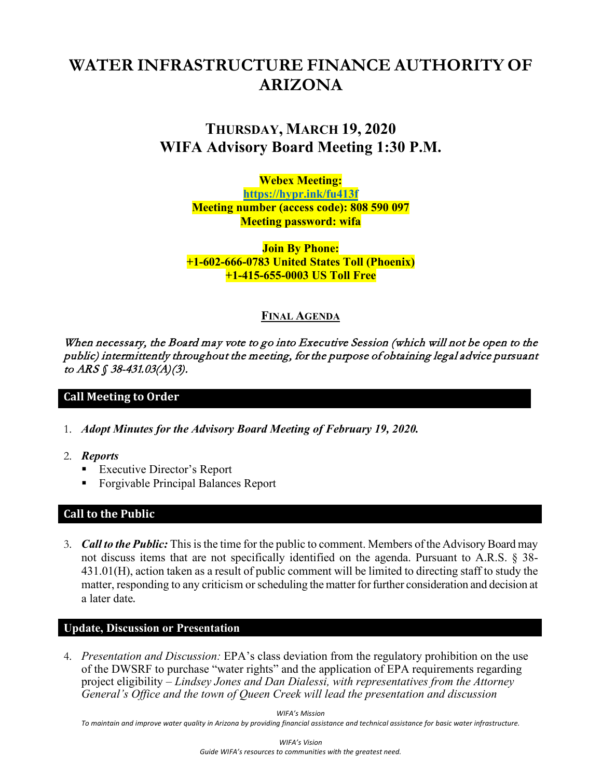# **WATER INFRASTRUCTURE FINANCE AUTHORITY OF ARIZONA**

# **THURSDAY, MARCH 19, 2020 WIFA Advisory Board Meeting 1:30 P.M.**

**Webex Meeting: <https://hypr.ink/fu413f> Meeting number (access code): 808 590 097 Meeting password: wifa**

**Join By Phone: +1-602-666-0783 United States Toll (Phoenix) +1-415-655-0003 US Toll Free**

# **FINAL AGENDA**

When necessary, the Board may vote to go into Executive Session (which will not be open to the public) intermittently throughout the meeting, for the purpose of obtaining legal advice pursuant to ARS § 38-431.03(A)(3).

# **Call Meeting to Order**

- 1. *Adopt Minutes for the Advisory Board Meeting of February 19, 2020.*
- 2. *Reports*
	- **Executive Director's Report**
	- **Forgivable Principal Balances Report**

# **Call to the Public**

3. *Call to the Public:* This is the time for the public to comment. Members of the Advisory Board may not discuss items that are not specifically identified on the agenda. Pursuant to A.R.S. § 38- 431.01(H), action taken as a result of public comment will be limited to directing staff to study the matter, responding to any criticism or scheduling the matter for further consideration and decision at a later date.

#### **Update, Discussion or Presentation**

4. *Presentation and Discussion:* EPA's class deviation from the regulatory prohibition on the use of the DWSRF to purchase "water rights" and the application of EPA requirements regarding project eligibility – *Lindsey Jones and Dan Dialessi, with representatives from the Attorney General's Office and the town of Queen Creek will lead the presentation and discussion*

*WIFA's Mission*

*To maintain and improve water quality in Arizona by providing financial assistance and technical assistance for basic water infrastructure.*